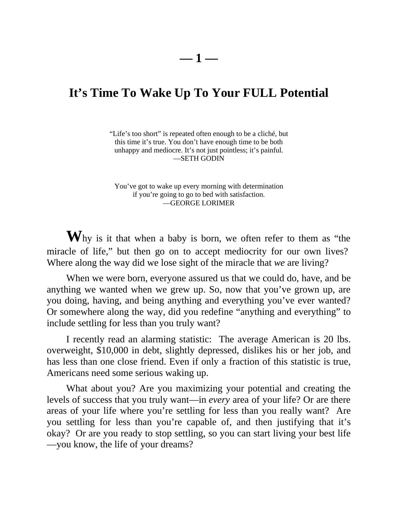## **It's Time To Wake Up To Your FULL Potential**

"Life's too short" is repeated often enough to be a cliché, but this time it's true. You don't have enough time to be both unhappy and mediocre. It's not just pointless; it's painful. —SETH GODIN

You've got to wake up every morning with determination if you're going to go to bed with satisfaction. —GEORGE LORIMER

Why is it that when a baby is born, we often refer to them as "the miracle of life," but then go on to accept mediocrity for our own lives? Where along the way did we lose sight of the miracle that *we* are living?

When we were born, everyone assured us that we could do, have, and be anything we wanted when we grew up. So, now that you've grown up, are you doing, having, and being anything and everything you've ever wanted? Or somewhere along the way, did you redefine "anything and everything" to include settling for less than you truly want?

I recently read an alarming statistic: The average American is 20 lbs. overweight, \$10,000 in debt, slightly depressed, dislikes his or her job, and has less than one close friend. Even if only a fraction of this statistic is true, Americans need some serious waking up.

What about you? Are you maximizing your potential and creating the levels of success that you truly want—in *every* area of your life? Or are there areas of your life where you're settling for less than you really want? Are you settling for less than you're capable of, and then justifying that it's okay? Or are you ready to stop settling, so you can start living your best life —you know, the life of your dreams?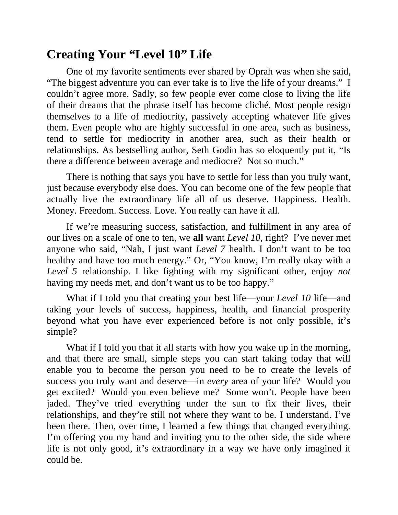#### **Creating Your "Level 10" Life**

One of my favorite sentiments ever shared by Oprah was when she said, "The biggest adventure you can ever take is to live the life of your dreams." I couldn't agree more. Sadly, so few people ever come close to living the life of their dreams that the phrase itself has become cliché. Most people resign themselves to a life of mediocrity, passively accepting whatever life gives them. Even people who are highly successful in one area, such as business, tend to settle for mediocrity in another area, such as their health or relationships. As bestselling author, Seth Godin has so eloquently put it, "Is there a difference between average and mediocre? Not so much."

There is nothing that says you have to settle for less than you truly want, just because everybody else does. You can become one of the few people that actually live the extraordinary life all of us deserve. Happiness. Health. Money. Freedom. Success. Love. You really can have it all.

If we're measuring success, satisfaction, and fulfillment in any area of our lives on a scale of one to ten, we **all** want *Level 10*, right? I've never met anyone who said, "Nah, I just want *Level 7* health. I don't want to be too healthy and have too much energy." Or, "You know, I'm really okay with a *Level 5* relationship. I like fighting with my significant other, enjoy *not* having my needs met, and don't want us to be too happy."

What if I told you that creating your best life—your *Level 10* life—and taking your levels of success, happiness, health, and financial prosperity beyond what you have ever experienced before is not only possible, it's simple?

What if I told you that it all starts with how you wake up in the morning, and that there are small, simple steps you can start taking today that will enable you to become the person you need to be to create the levels of success you truly want and deserve—in *every* area of your life? Would you get excited? Would you even believe me? Some won't. People have been jaded. They've tried everything under the sun to fix their lives, their relationships, and they're still not where they want to be. I understand. I've been there. Then, over time, I learned a few things that changed everything. I'm offering you my hand and inviting you to the other side, the side where life is not only good, it's extraordinary in a way we have only imagined it could be.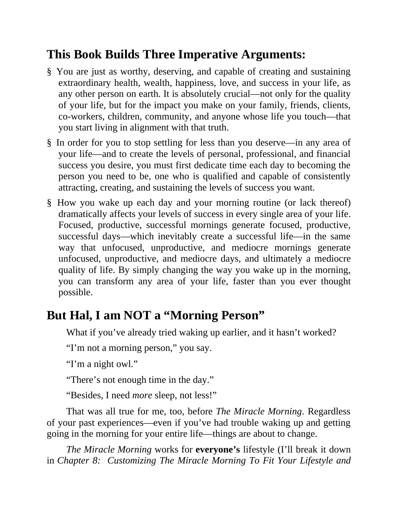# **This Book Builds Three Imperative Arguments:**

- § You are just as worthy, deserving, and capable of creating and sustaining extraordinary health, wealth, happiness, love, and success in your life, as any other person on earth. It is absolutely crucial—not only for the quality of your life, but for the impact you make on your family, friends, clients, co-workers, children, community, and anyone whose life you touch—that you start living in alignment with that truth.
- § In order for you to stop settling for less than you deserve—in any area of your life—and to create the levels of personal, professional, and financial success you desire, you must first dedicate time each day to becoming the person you need to be, one who is qualified and capable of consistently attracting, creating, and sustaining the levels of success you want.
- § How you wake up each day and your morning routine (or lack thereof) dramatically affects your levels of success in every single area of your life. Focused, productive, successful mornings generate focused, productive, successful days—which inevitably create a successful life—in the same way that unfocused, unproductive, and mediocre mornings generate unfocused, unproductive, and mediocre days, and ultimately a mediocre quality of life. By simply changing the way you wake up in the morning, you can transform any area of your life, faster than you ever thought possible.

## **But Hal, I am NOT a "Morning Person"**

What if you've already tried waking up earlier, and it hasn't worked?

"I'm not a morning person," you say.

"I'm a night owl."

"There's not enough time in the day."

"Besides, I need *more* sleep, not less!"

That was all true for me, too, before *The Miracle Morning*. Regardless of your past experiences—even if you've had trouble waking up and getting going in the morning for your entire life—things are about to change.

*The Miracle Morning* works for **everyone's** lifestyle (I'll break it down in *Chapter 8: Customizing The Miracle Morning To Fit Your Lifestyle and*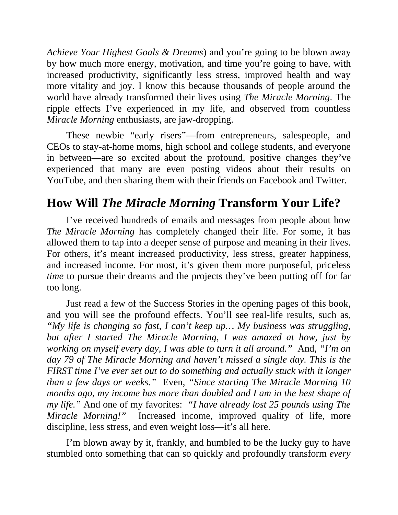*Achieve Your Highest Goals & Dreams*) and you're going to be blown away by how much more energy, motivation, and time you're going to have, with increased productivity, significantly less stress, improved health and way more vitality and joy. I know this because thousands of people around the world have already transformed their lives using *The Miracle Morning*. The ripple effects I've experienced in my life, and observed from countless *Miracle Morning* enthusiasts, are jaw-dropping.

These newbie "early risers"—from entrepreneurs, salespeople, and CEOs to stay-at-home moms, high school and college students, and everyone in between—are so excited about the profound, positive changes they've experienced that many are even posting videos about their results on YouTube, and then sharing them with their friends on Facebook and Twitter.

## **How Will** *The Miracle Morning* **Transform Your Life?**

I've received hundreds of emails and messages from people about how *The Miracle Morning* has completely changed their life. For some, it has allowed them to tap into a deeper sense of purpose and meaning in their lives. For others, it's meant increased productivity, less stress, greater happiness, and increased income. For most, it's given them more purposeful, priceless *time* to pursue their dreams and the projects they've been putting off for far too long.

Just read a few of the Success Stories in the opening pages of this book, and you will see the profound effects. You'll see real-life results, such as, *"My life is changing so fast, I can't keep up… My business was struggling, but after I started The Miracle Morning, I was amazed at how, just by working on myself every day, I was able to turn it all around."* And, *"I'm on day 79 of The Miracle Morning and haven't missed a single day. This is the FIRST time I've ever set out to do something and actually stuck with it longer than a few days or weeks."* Even, *"Since starting The Miracle Morning 10 months ago, my income has more than doubled and I am in the best shape of my life."* And one of my favorites: *"I have already lost 25 pounds using The Miracle Morning!"* Increased income, improved quality of life, more discipline, less stress, and even weight loss—it's all here.

I'm blown away by it, frankly, and humbled to be the lucky guy to have stumbled onto something that can so quickly and profoundly transform *every*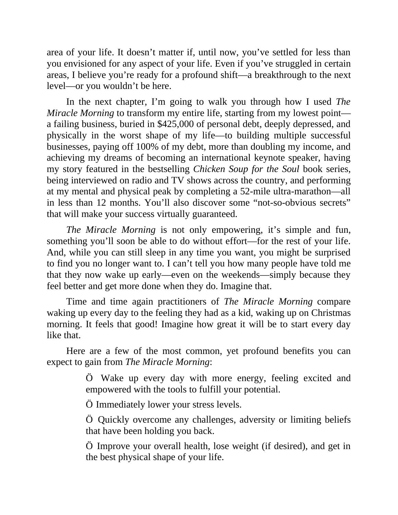area of your life. It doesn't matter if, until now, you've settled for less than you envisioned for any aspect of your life. Even if you've struggled in certain areas, I believe you're ready for a profound shift—a breakthrough to the next level—or you wouldn't be here.

In the next chapter, I'm going to walk you through how I used *The Miracle Morning* to transform my entire life, starting from my lowest point a failing business, buried in \$425,000 of personal debt, deeply depressed, and physically in the worst shape of my life—to building multiple successful businesses, paying off 100% of my debt, more than doubling my income, and achieving my dreams of becoming an international keynote speaker, having my story featured in the bestselling *Chicken Soup for the Soul* book series, being interviewed on radio and TV shows across the country, and performing at my mental and physical peak by completing a 52-mile ultra-marathon—all in less than 12 months. You'll also discover some "not-so-obvious secrets" that will make your success virtually guaranteed.

*The Miracle Morning* is not only empowering, it's simple and fun, something you'll soon be able to do without effort—for the rest of your life. And, while you can still sleep in any time you want, you might be surprised to find you no longer want to. I can't tell you how many people have told me that they now wake up early—even on the weekends—simply because they feel better and get more done when they do. Imagine that.

Time and time again practitioners of *The Miracle Morning* compare waking up every day to the feeling they had as a kid, waking up on Christmas morning. It feels that good! Imagine how great it will be to start every day like that.

Here are a few of the most common, yet profound benefits you can expect to gain from *The Miracle Morning*:

> Ö Wake up every day with more energy, feeling excited and empowered with the tools to fulfill your potential.

Ö Immediately lower your stress levels.

Ö Quickly overcome any challenges, adversity or limiting beliefs that have been holding you back.

Ö Improve your overall health, lose weight (if desired), and get in the best physical shape of your life.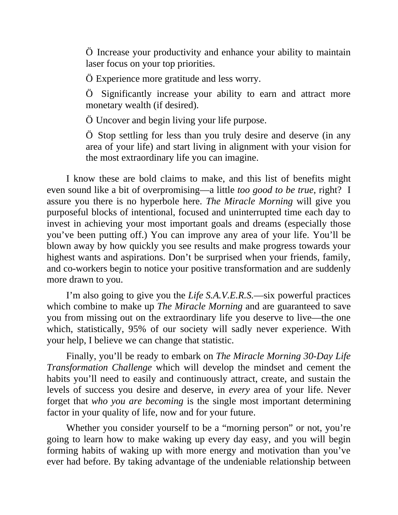Ö Increase your productivity and enhance your ability to maintain laser focus on your top priorities.

Ö Experience more gratitude and less worry.

Ö Significantly increase your ability to earn and attract more monetary wealth (if desired).

Ö Uncover and begin living your life purpose.

Ö Stop settling for less than you truly desire and deserve (in any area of your life) and start living in alignment with your vision for the most extraordinary life you can imagine.

I know these are bold claims to make, and this list of benefits might even sound like a bit of overpromising—a little *too good to be true*, right? I assure you there is no hyperbole here. *The Miracle Morning* will give you purposeful blocks of intentional, focused and uninterrupted time each day to invest in achieving your most important goals and dreams (especially those you've been putting off.) You can improve any area of your life. You'll be blown away by how quickly you see results and make progress towards your highest wants and aspirations. Don't be surprised when your friends, family, and co-workers begin to notice your positive transformation and are suddenly more drawn to you.

I'm also going to give you the *Life S.A.V.E.R.S.*—six powerful practices which combine to make up *The Miracle Morning* and are guaranteed to save you from missing out on the extraordinary life you deserve to live—the one which, statistically, 95% of our society will sadly never experience. With your help, I believe we can change that statistic.

Finally, you'll be ready to embark on *The Miracle Morning 30-Day Life Transformation Challenge* which will develop the mindset and cement the habits you'll need to easily and continuously attract, create, and sustain the levels of success you desire and deserve, in *every* area of your life. Never forget that *who you are becoming* is the single most important determining factor in your quality of life, now and for your future.

Whether you consider yourself to be a "morning person" or not, you're going to learn how to make waking up every day easy, and you will begin forming habits of waking up with more energy and motivation than you've ever had before. By taking advantage of the undeniable relationship between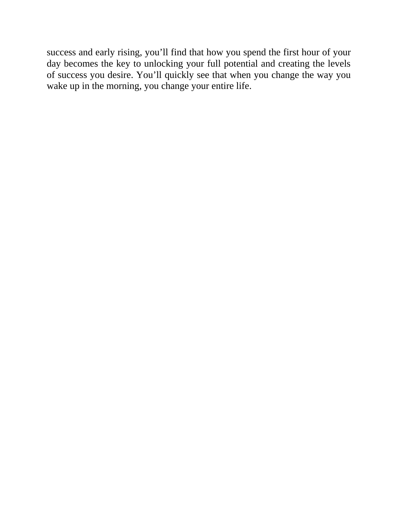success and early rising, you'll find that how you spend the first hour of your day becomes the key to unlocking your full potential and creating the levels of success you desire. You'll quickly see that when you change the way you wake up in the morning, you change your entire life.